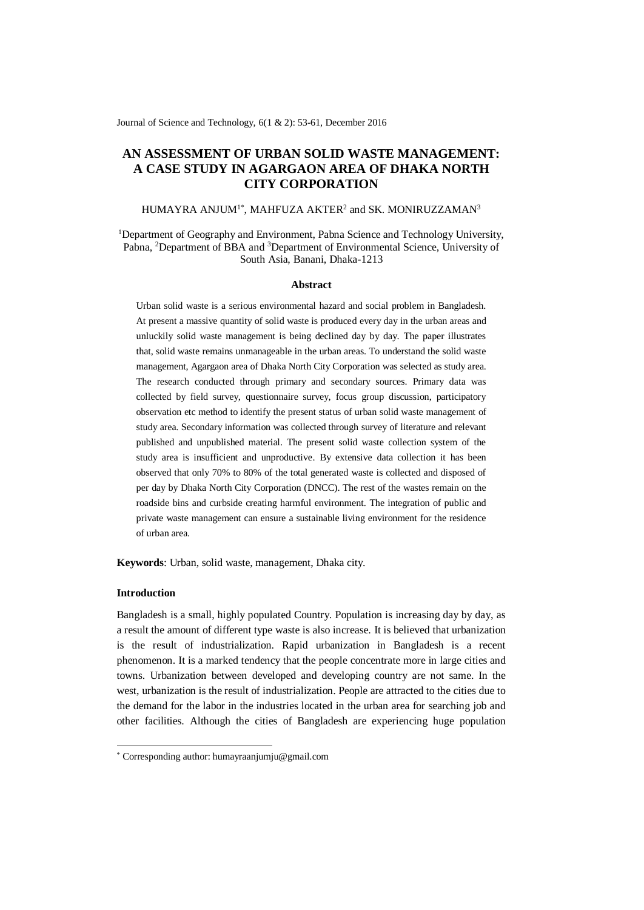Journal of Science and Technology, 6(1 & 2): 53-61, December 2016

# **AN ASSESSMENT OF URBAN SOLID WASTE MANAGEMENT: A CASE STUDY IN AGARGAON AREA OF DHAKA NORTH CITY CORPORATION**

### HUMAYRA ANJUM $^{1\ast}$ , MAHFUZA AKTER $^{2}$  and SK. MONIRUZZAMAN $^{3}$

<sup>1</sup>Department of Geography and Environment, Pabna Science and Technology University, Pabna, <sup>2</sup>Department of BBA and <sup>3</sup>Department of Environmental Science, University of South Asia, Banani, Dhaka-1213

#### **Abstract**

Urban solid waste is a serious environmental hazard and social problem in Bangladesh. At present a massive quantity of solid waste is produced every day in the urban areas and unluckily solid waste management is being declined day by day. The paper illustrates that, solid waste remains unmanageable in the urban areas. To understand the solid waste management, Agargaon area of Dhaka North City Corporation was selected as study area. The research conducted through primary and secondary sources. Primary data was collected by field survey, questionnaire survey, focus group discussion, participatory observation etc method to identify the present status of urban solid waste management of study area. Secondary information was collected through survey of literature and relevant published and unpublished material. The present solid waste collection system of the study area is insufficient and unproductive. By extensive data collection it has been observed that only 70% to 80% of the total generated waste is collected and disposed of per day by Dhaka North City Corporation (DNCC). The rest of the wastes remain on the roadside bins and curbside creating harmful environment. The integration of public and private waste management can ensure a sustainable living environment for the residence of urban area.

**Keywords**: Urban, solid waste, management, Dhaka city.

### **Introduction**

-

Bangladesh is a small, highly populated Country. Population is increasing day by day, as a result the amount of different type waste is also increase. It is believed that urbanization is the result of industrialization. Rapid urbanization in Bangladesh is a recent phenomenon. It is a marked tendency that the people concentrate more in large cities and towns. Urbanization between developed and developing country are not same. In the west, urbanization is the result of industrialization. People are attracted to the cities due to the demand for the labor in the industries located in the urban area for searching job and other facilities. Although the cities of Bangladesh are experiencing huge population

<sup>\*</sup> Corresponding author: humayraanjumju@gmail.com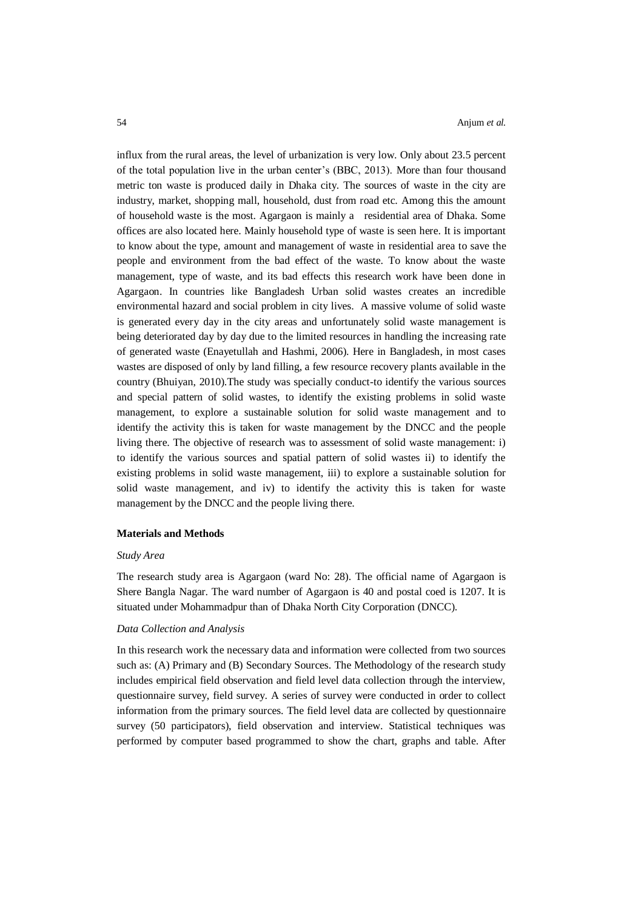influx from the rural areas, the level of urbanization is very low. Only about 23.5 percent of the total population live in the urban center's (BBC, 2013). More than four thousand metric ton waste is produced daily in Dhaka city. The sources of waste in the city are industry, market, shopping mall, household, dust from road etc. Among this the amount of household waste is the most. Agargaon is mainly a residential area of Dhaka. Some offices are also located here. Mainly household type of waste is seen here. It is important to know about the type, amount and management of waste in residential area to save the people and environment from the bad effect of the waste. To know about the waste management, type of waste, and its bad effects this research work have been done in Agargaon. In countries like Bangladesh Urban solid wastes creates an incredible environmental hazard and social problem in city lives. A massive volume of solid waste is generated every day in the city areas and unfortunately solid waste management is being deteriorated day by day due to the limited resources in handling the increasing rate of generated waste (Enayetullah and Hashmi, 2006). Here in Bangladesh, in most cases wastes are disposed of only by land filling, a few resource recovery plants available in the country (Bhuiyan, 2010).The study was specially conduct-to identify the various sources and special pattern of solid wastes, to identify the existing problems in solid waste management, to explore a sustainable solution for solid waste management and to identify the activity this is taken for waste management by the DNCC and the people living there. The objective of research was to assessment of solid waste management: i) to identify the various sources and spatial pattern of solid wastes ii) to identify the existing problems in solid waste management, iii) to explore a sustainable solution for solid waste management, and iv) to identify the activity this is taken for waste management by the DNCC and the people living there.

### **Materials and Methods**

#### *Study Area*

The research study area is Agargaon (ward No: 28). The official name of Agargaon is Shere Bangla Nagar. The ward number of Agargaon is 40 and postal coed is 1207. It is situated under Mohammadpur than of Dhaka North City Corporation (DNCC).

### *Data Collection and Analysis*

In this research work the necessary data and information were collected from two sources such as: (A) Primary and (B) Secondary Sources. The Methodology of the research study includes empirical field observation and field level data collection through the interview, questionnaire survey, field survey. A series of survey were conducted in order to collect information from the primary sources. The field level data are collected by questionnaire survey (50 participators), field observation and interview. Statistical techniques was performed by computer based programmed to show the chart, graphs and table. After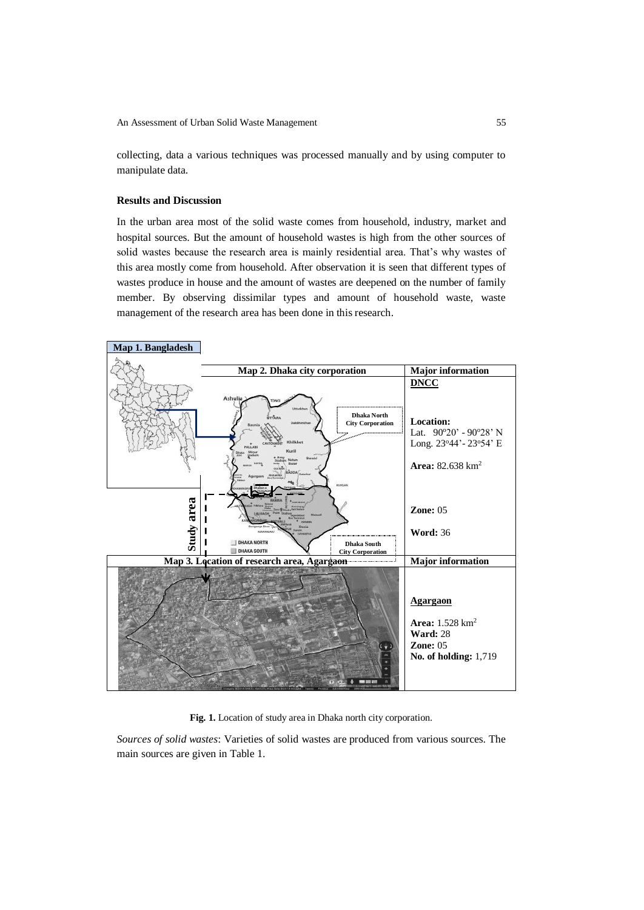collecting, data a various techniques was processed manually and by using computer to manipulate data.

## **Results and Discussion**

In the urban area most of the solid waste comes from household, industry, market and hospital sources. But the amount of household wastes is high from the other sources of solid wastes because the research area is mainly residential area. That's why wastes of this area mostly come from household. After observation it is seen that different types of wastes produce in house and the amount of wastes are deepened on the number of family member. By observing dissimilar types and amount of household waste, waste management of the research area has been done in this research.



# **Fig. 1.** Location of study area in Dhaka north city corporation.

*Sources of solid wastes*: Varieties of solid wastes are produced from various sources. The main sources are given in Table 1.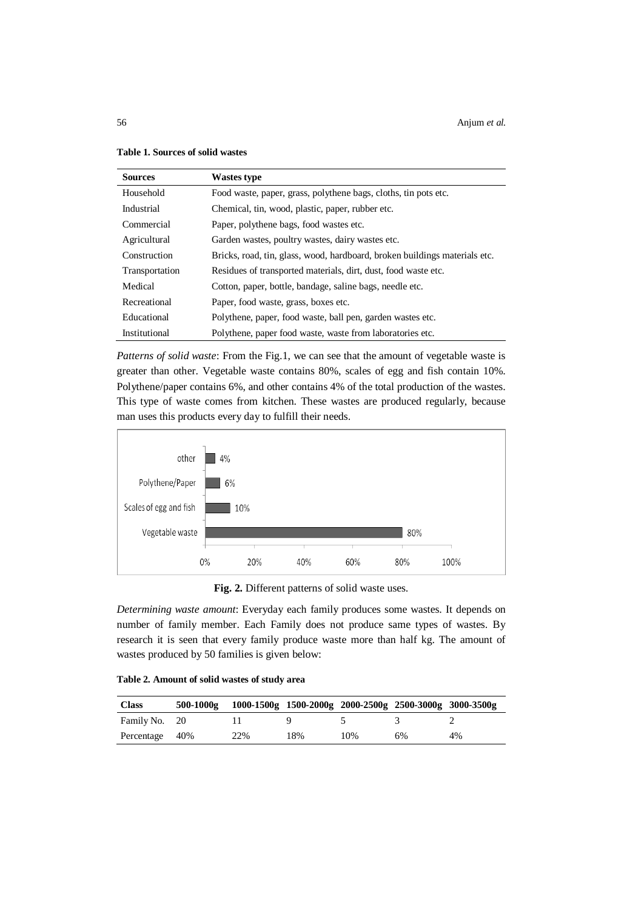56 Anjum *et al.*

| <b>Sources</b> | <b>Wastes type</b>                                                         |
|----------------|----------------------------------------------------------------------------|
| Household      | Food waste, paper, grass, polythene bags, cloths, tin pots etc.            |
| Industrial     | Chemical, tin, wood, plastic, paper, rubber etc.                           |
| Commercial     | Paper, polythene bags, food wastes etc.                                    |
| Agricultural   | Garden wastes, poultry wastes, dairy wastes etc.                           |
| Construction   | Bricks, road, tin, glass, wood, hardboard, broken buildings materials etc. |
| Transportation | Residues of transported materials, dirt, dust, food waste etc.             |
| Medical        | Cotton, paper, bottle, bandage, saline bags, needle etc.                   |
| Recreational   | Paper, food waste, grass, boxes etc.                                       |
| Educational    | Polythene, paper, food waste, ball pen, garden wastes etc.                 |
| Institutional  | Polythene, paper food waste, waste from laboratories etc.                  |

## **Table 1. Sources of solid wastes**

*Patterns of solid waste*: From the Fig.1, we can see that the amount of vegetable waste is greater than other. Vegetable waste contains 80%, scales of egg and fish contain 10%. Polythene/paper contains 6%, and other contains 4% of the total production of the wastes. This type of waste comes from kitchen. These wastes are produced regularly, because man uses this products every day to fulfill their needs.



**Fig. 2.** Different patterns of solid waste uses.

*Determining waste amount*: Everyday each family produces some wastes. It depends on number of family member. Each Family does not produce same types of wastes. By research it is seen that every family produce waste more than half kg. The amount of wastes produced by 50 families is given below:

| <b>Class</b>   | $500 - 1000g$ |     |     |     | 1000-1500g 1500-2000g 2000-2500g 2500-3000g 3000-3500g |    |
|----------------|---------------|-----|-----|-----|--------------------------------------------------------|----|
| Family No. 20  |               |     |     |     |                                                        |    |
| Percentage 40% |               | 22% | 18% | 10% | 6%                                                     | 4% |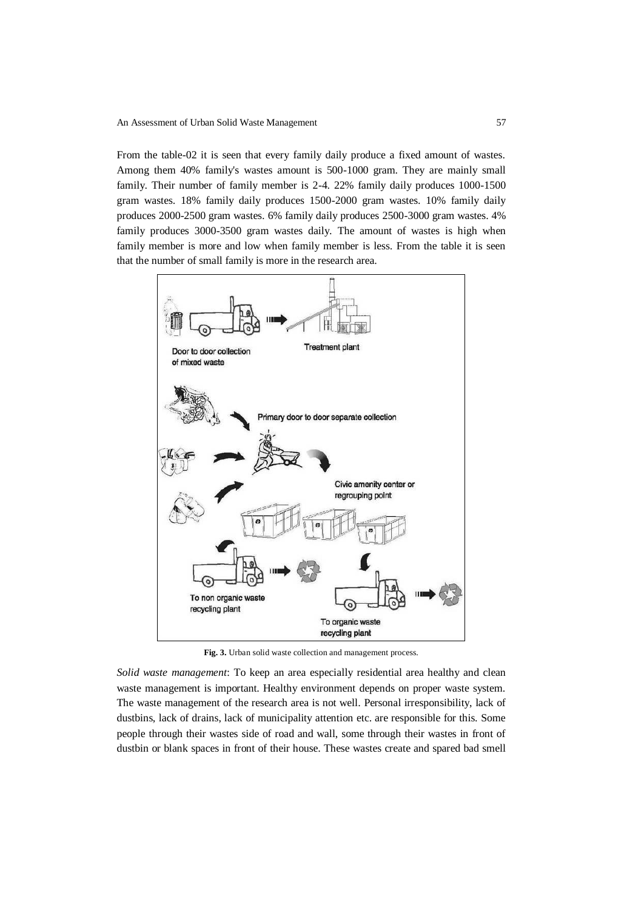From the table-02 it is seen that every family daily produce a fixed amount of wastes. Among them 40% family's wastes amount is 500-1000 gram. They are mainly small family. Their number of family member is 2-4. 22% family daily produces 1000-1500 gram wastes. 18% family daily produces 1500-2000 gram wastes. 10% family daily produces 2000-2500 gram wastes. 6% family daily produces 2500-3000 gram wastes. 4% family produces 3000-3500 gram wastes daily. The amount of wastes is high when family member is more and low when family member is less. From the table it is seen that the number of small family is more in the research area.



**Fig. 3.** Urban solid waste collection and management process.

*Solid waste management*: To keep an area especially residential area healthy and clean waste management is important. Healthy environment depends on proper waste system. The waste management of the research area is not well. Personal irresponsibility, lack of dustbins, lack of drains, lack of municipality attention etc. are responsible for this. Some people through their wastes side of road and wall, some through their wastes in front of dustbin or blank spaces in front of their house. These wastes create and spared bad smell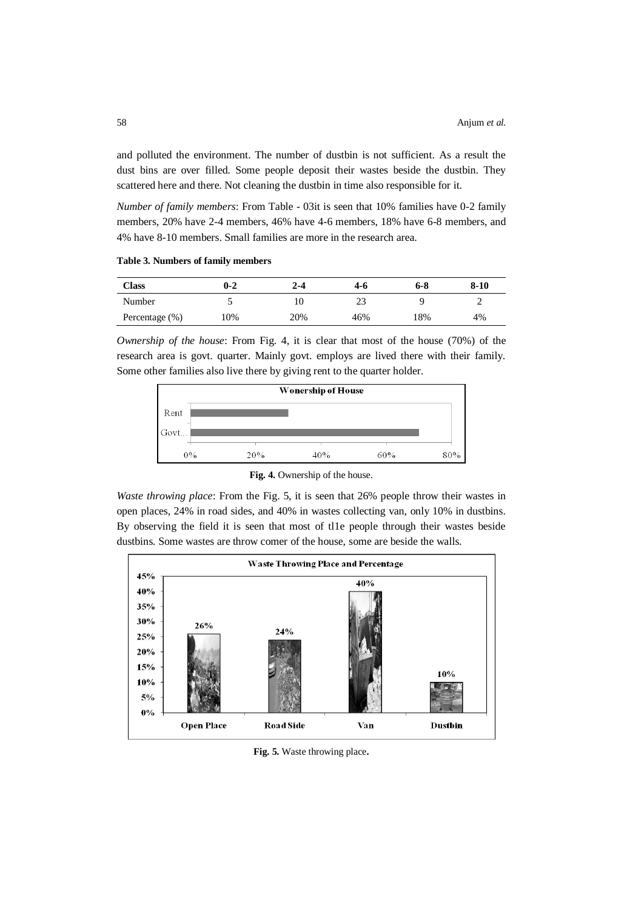and polluted the environment. The number of dustbin is not sufficient. As a result the dust bins are over filled. Some people deposit their wastes beside the dustbin. They scattered here and there. Not cleaning the dustbin in time also responsible for it.

*Number of family members*: From Table - 03it is seen that 10% families have 0-2 family members, 20% have 2-4 members, 46% have 4-6 members, 18% have 6-8 members, and 4% have 8-10 members. Small families are more in the research area.

**Table 3. Numbers of family members**

| Class          | $0 - 2$ | $2 - 4$ | 4-6 | 6-8 | $8 - 10$ |
|----------------|---------|---------|-----|-----|----------|
| Number         |         |         | 23  |     | ∸        |
| Percentage (%) | 10%     | 20%     | 46% | 18% | 4%       |

*Ownership of the house*: From Fig. 4, it is clear that most of the house (70%) of the research area is govt. quarter. Mainly govt. employs are lived there with their family. Some other families also live there by giving rent to the quarter holder.



**Fig. 4.** Ownership of the house.

*Waste throwing place*: From the Fig. 5, it is seen that 26% people throw their wastes in open places, 24% in road sides, and 40% in wastes collecting van, only 10% in dustbins. By observing the field it is seen that most of tl1e people through their wastes beside dustbins. Some wastes are throw comer of the house, some are beside the walls.



**Fig. 5.** Waste throwing place**.**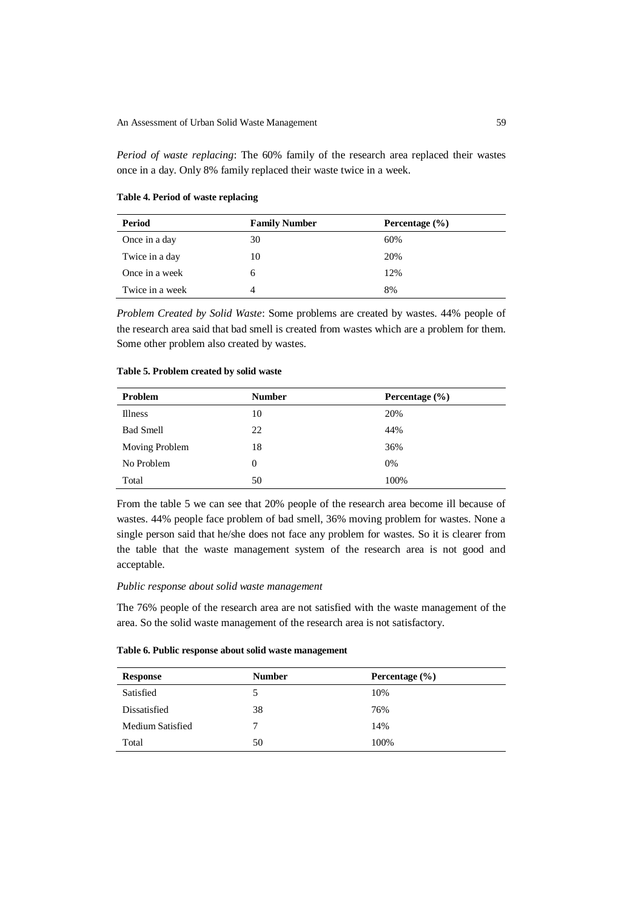*Period of waste replacing*: The 60% family of the research area replaced their wastes once in a day. Only 8% family replaced their waste twice in a week.

# **Table 4. Period of waste replacing**

| Period          | <b>Family Number</b> | Percentage $(\% )$ |
|-----------------|----------------------|--------------------|
| Once in a day   | 30                   | 60%                |
| Twice in a day  | 10                   | 20%                |
| Once in a week  | 6                    | 12%                |
| Twice in a week | 4                    | 8%                 |

*Problem Created by Solid Waste*: Some problems are created by wastes. 44% people of the research area said that bad smell is created from wastes which are a problem for them. Some other problem also created by wastes.

#### **Table 5. Problem created by solid waste**

| Problem          | <b>Number</b> | Percentage $(\% )$ |
|------------------|---------------|--------------------|
| <b>Illness</b>   | 10            | 20%                |
| <b>Bad Smell</b> | 22            | 44%                |
| Moving Problem   | 18            | 36%                |
| No Problem       | $\Omega$      | 0%                 |
| Total            | 50            | 100%               |

From the table 5 we can see that 20% people of the research area become ill because of wastes. 44% people face problem of bad smell, 36% moving problem for wastes. None a single person said that he/she does not face any problem for wastes. So it is clearer from the table that the waste management system of the research area is not good and acceptable.

# *Public response about solid waste management*

The 76% people of the research area are not satisfied with the waste management of the area. So the solid waste management of the research area is not satisfactory.

|  |  |  |  |  |  | Table 6. Public response about solid waste management |
|--|--|--|--|--|--|-------------------------------------------------------|
|--|--|--|--|--|--|-------------------------------------------------------|

| Response         | <b>Number</b> | Percentage $(\% )$ |
|------------------|---------------|--------------------|
| Satisfied        | C             | 10%                |
| Dissatisfied     | 38            | 76%                |
| Medium Satisfied | 7             | 14%                |
| Total            | 50            | 100%               |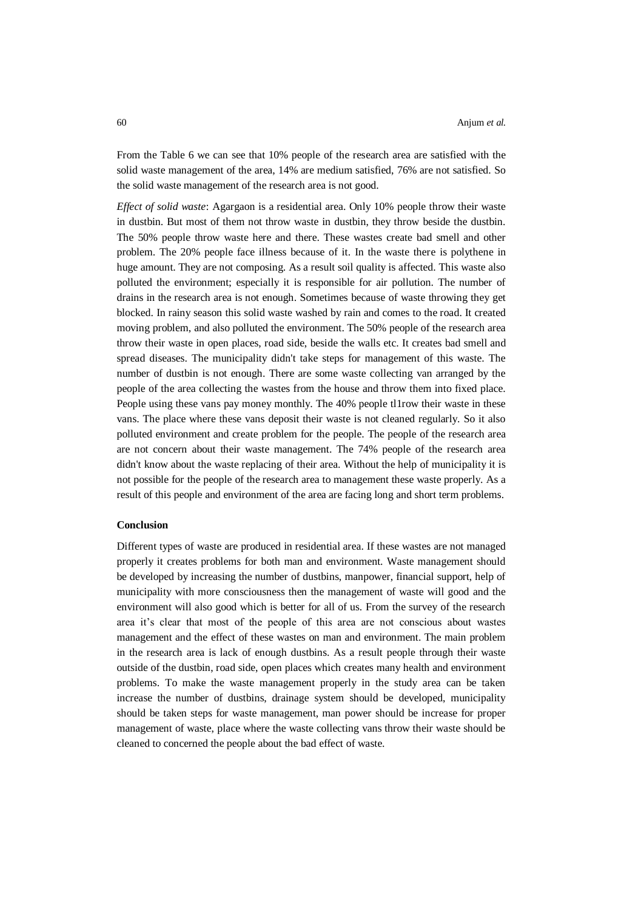From the Table 6 we can see that 10% people of the research area are satisfied with the solid waste management of the area, 14% are medium satisfied, 76% are not satisfied. So the solid waste management of the research area is not good.

*Effect of solid waste*: Agargaon is a residential area. Only 10% people throw their waste in dustbin. But most of them not throw waste in dustbin, they throw beside the dustbin. The 50% people throw waste here and there. These wastes create bad smell and other problem. The 20% people face illness because of it. In the waste there is polythene in huge amount. They are not composing. As a result soil quality is affected. This waste also polluted the environment; especially it is responsible for air pollution. The number of drains in the research area is not enough. Sometimes because of waste throwing they get blocked. In rainy season this solid waste washed by rain and comes to the road. It created moving problem, and also polluted the environment. The 50% people of the research area throw their waste in open places, road side, beside the walls etc. It creates bad smell and spread diseases. The municipality didn't take steps for management of this waste. The number of dustbin is not enough. There are some waste collecting van arranged by the people of the area collecting the wastes from the house and throw them into fixed place. People using these vans pay money monthly. The 40% people tl1row their waste in these vans. The place where these vans deposit their waste is not cleaned regularly. So it also polluted environment and create problem for the people. The people of the research area are not concern about their waste management. The 74% people of the research area didn't know about the waste replacing of their area. Without the help of municipality it is not possible for the people of the research area to management these waste properly. As a result of this people and environment of the area are facing long and short term problems.

# **Conclusion**

Different types of waste are produced in residential area. If these wastes are not managed properly it creates problems for both man and environment. Waste management should be developed by increasing the number of dustbins, manpower, financial support, help of municipality with more consciousness then the management of waste will good and the environment will also good which is better for all of us. From the survey of the research area it's clear that most of the people of this area are not conscious about wastes management and the effect of these wastes on man and environment. The main problem in the research area is lack of enough dustbins. As a result people through their waste outside of the dustbin, road side, open places which creates many health and environment problems. To make the waste management properly in the study area can be taken increase the number of dustbins, drainage system should be developed, municipality should be taken steps for waste management, man power should be increase for proper management of waste, place where the waste collecting vans throw their waste should be cleaned to concerned the people about the bad effect of waste.